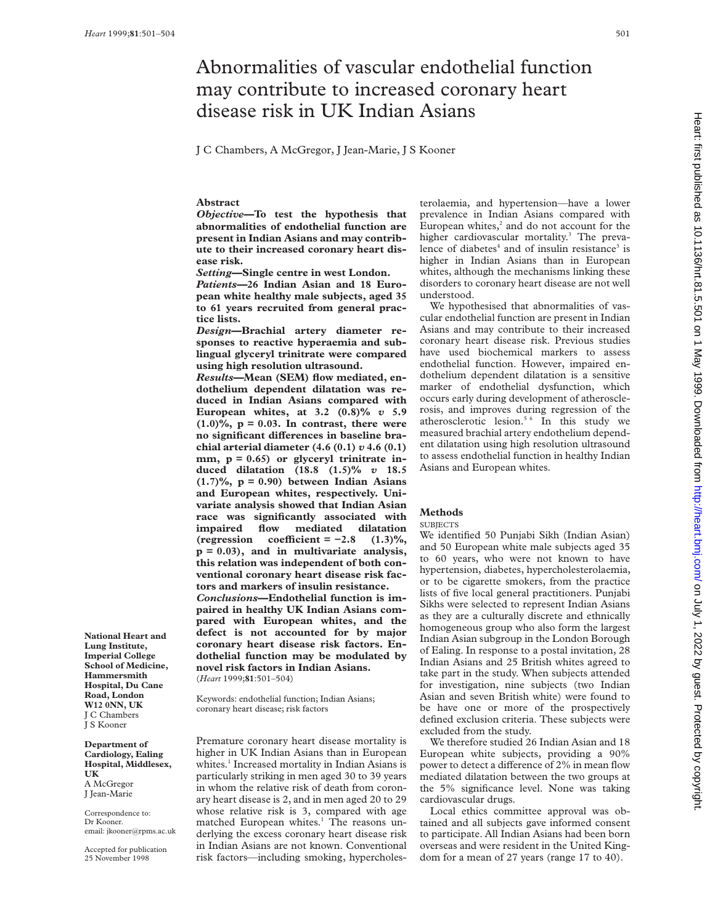# Abnormalities of vascular endothelial function may contribute to increased coronary heart disease risk in UK Indian Asians

J C Chambers, A McGregor, J Jean-Marie, J S Kooner

## **Abstract**

*Objective***—To test the hypothesis that abnormalities of endothelial function are present in Indian Asians and may contribute to their increased coronary heart disease risk.**

*Setting***—Single centre in west London.**

*Patients***—26 Indian Asian and 18 European white healthy male subjects, aged 35 to 61 years recruited from general practice lists.**

*Design***—Brachial artery diameter responses to reactive hyperaemia and sublingual glyceryl trinitrate were compared using high resolution ultrasound.**

*Results***—Mean (SEM) flow mediated, endothelium dependent dilatation was reduced in Indian Asians compared with European whites, at 3.2 (0.8)%** *v* **5.9 (1.0)%, p = 0.03. In contrast, there were** no significant differences in baseline bra**chial arterial diameter (4.6 (0.1)** *v* **4.6 (0.1) mm, p = 0.65) or glyceryl trinitrate induced dilatation (18.8 (1.5)%** *v* **18.5 (1.7)%, p = 0.90) between Indian Asians and European whites, respectively. Univariate analysis showed that Indian Asian race was significantly associated with impaired flow mediated dilatation**  $(\text{regression coefficient} = -2.8 \quad (1.3)\%,$ **p = 0.03), and in multivariate analysis, this relation was independent of both conventional coronary heart disease risk factors and markers of insulin resistance.** *Conclusions***—Endothelial function is impaired in healthy UK Indian Asians compared with European whites, and the**

**defect is not accounted for by major coronary heart disease risk factors. Endothelial function may be modulated by novel risk factors in Indian Asians.** (*Heart* 1999;**81**:501–504)

Keywords: endothelial function; Indian Asians; coronary heart disease; risk factors

Premature coronary heart disease mortality is higher in UK Indian Asians than in European whites.<sup>1</sup> Increased mortality in Indian Asians is particularly striking in men aged 30 to 39 years in whom the relative risk of death from coronary heart disease is 2, and in men aged 20 to 29 whose relative risk is 3, compared with age matched European whites.<sup>1</sup> The reasons underlying the excess coronary heart disease risk in Indian Asians are not known. Conventional risk factors—including smoking, hypercholesterolaemia, and hypertension—have a lower prevalence in Indian Asians compared with European whites, $2$  and do not account for the higher cardiovascular mortality.<sup>3</sup> The prevalence of diabetes<sup>4</sup> and of insulin resistance<sup>3</sup> is higher in Indian Asians than in European whites, although the mechanisms linking these disorders to coronary heart disease are not well understood.

We hypothesised that abnormalities of vascular endothelial function are present in Indian Asians and may contribute to their increased coronary heart disease risk. Previous studies have used biochemical markers to assess endothelial function. However, impaired endothelium dependent dilatation is a sensitive marker of endothelial dysfunction, which occurs early during development of atherosclerosis, and improves during regression of the atherosclerotic lesion.<sup>5 6</sup> In this study we measured brachial artery endothelium dependent dilatation using high resolution ultrasound to assess endothelial function in healthy Indian Asians and European whites.

## **Methods**

#### **SUBJECTS**

We identified 50 Punjabi Sikh (Indian Asian) and 50 European white male subjects aged 35 to 60 years, who were not known to have hypertension, diabetes, hypercholesterolaemia, or to be cigarette smokers, from the practice lists of five local general practitioners. Punjabi Sikhs were selected to represent Indian Asians as they are a culturally discrete and ethnically homogeneous group who also form the largest Indian Asian subgroup in the London Borough of Ealing. In response to a postal invitation, 28 Indian Asians and 25 British whites agreed to take part in the study. When subjects attended for investigation, nine subjects (two Indian Asian and seven British white) were found to be have one or more of the prospectively defined exclusion criteria. These subjects were excluded from the study.

We therefore studied 26 Indian Asian and 18 European white subjects, providing a 90% power to detect a difference of 2% in mean flow mediated dilatation between the two groups at the 5% significance level. None was taking cardiovascular drugs.

Local ethics committee approval was obtained and all subjects gave informed consent to participate. All Indian Asians had been born overseas and were resident in the United Kingdom for a mean of 27 years (range 17 to 40).

**National Heart and Lung Institute, Imperial College School of Medicine, Hammersmith Hospital, Du Cane Road, London W12 0NN, UK** J C Chambers J S Kooner

**Department of Cardiology, Ealing Hospital, Middlesex, UK** A McGregor J Jean-Marie

Correspondence to: Dr Kooner. email: jkooner@rpms.ac.uk

Accepted for publication 25 November 1998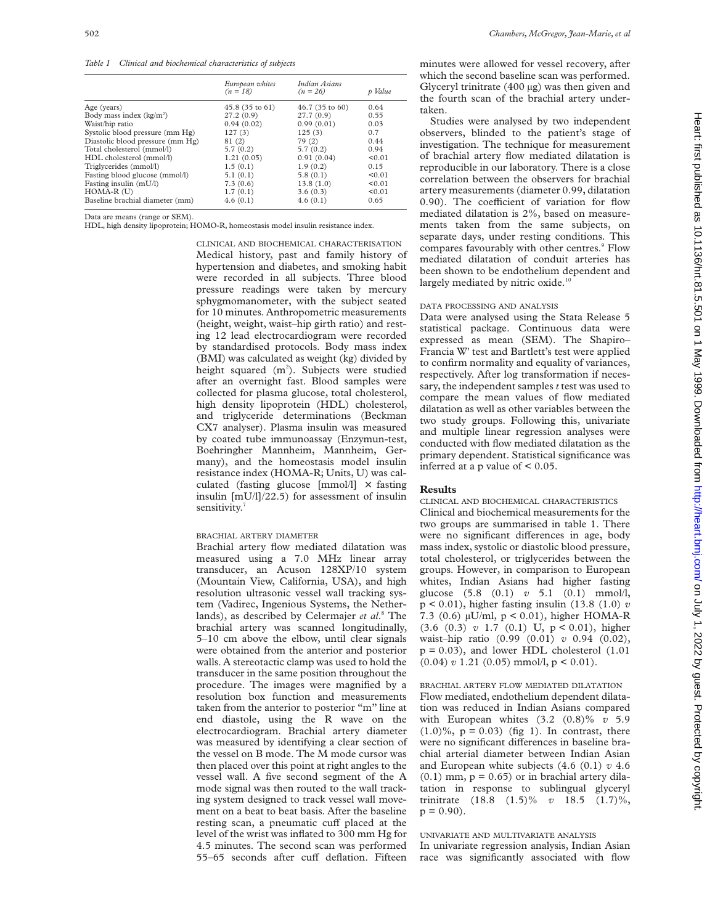*Table 1 Clinical and biochemical characteristics of subjects*

|                                  | European whites<br>$(n = 18)$ | Indian Asians<br>$(n = 26)$ | p Value |
|----------------------------------|-------------------------------|-----------------------------|---------|
| Age (years)                      | 45.8 (35 to 61)               | $46.7(35 \text{ to } 60)$   | 0.64    |
| Body mass index $(kg/m2)$        | 27.2(0.9)                     | 27.7(0.9)                   | 0.55    |
| Waist/hip ratio                  | 0.94(0.02)                    | 0.99(0.01)                  | 0.03    |
| Systolic blood pressure (mm Hg)  | 127(3)                        | 125(3)                      | 0.7     |
| Diastolic blood pressure (mm Hg) | 81 (2)                        | 79(2)                       | 0.44    |
| Total cholesterol (mmol/l)       | 5.7(0.2)                      | 5.7(0.2)                    | 0.94    |
| HDL cholesterol (mmol/l)         | 1.21(0.05)                    | 0.91(0.04)                  | < 0.01  |
| Triglycerides (mmol/l)           | 1.5(0.1)                      | 1.9(0.2)                    | 0.15    |
| Fasting blood glucose (mmol/l)   | 5.1(0.1)                      | 5.8(0.1)                    | < 0.01  |
| Fasting insulin $(mU/I)$         | 7.3(0.6)                      | 13.8(1.0)                   | < 0.01  |
| $HOMA-R$ $(U)$                   | 1.7(0.1)                      | 3.6(0.3)                    | < 0.01  |
| Baseline brachial diameter (mm)  | 4.6(0.1)                      | 4.6(0.1)                    | 0.65    |
|                                  |                               |                             |         |

Data are means (range or SEM).

HDL, high density lipoprotein; HOMO-R, homeostasis model insulin resistance index.

CLINICAL AND BIOCHEMICAL CHARACTERISATION Medical history, past and family history of hypertension and diabetes, and smoking habit were recorded in all subjects. Three blood pressure readings were taken by mercury sphygmomanometer, with the subject seated for 10 minutes. Anthropometric measurements (height, weight, waist–hip girth ratio) and resting 12 lead electrocardiogram were recorded by standardised protocols. Body mass index (BMI) was calculated as weight (kg) divided by height squared (m<sup>2</sup>). Subjects were studied after an overnight fast. Blood samples were collected for plasma glucose, total cholesterol, high density lipoprotein (HDL) cholesterol, and triglyceride determinations (Beckman CX7 analyser). Plasma insulin was measured by coated tube immunoassay (Enzymun-test, Boehringher Mannheim, Mannheim, Germany), and the homeostasis model insulin resistance index (HOMA-R; Units, U) was calculated (fasting glucose [mmol/l]  $\times$  fasting insulin [mU/l]/22.5) for assessment of insulin sensitivity.<sup>7</sup>

#### BRACHIAL ARTERY DIAMETER

Brachial artery flow mediated dilatation was measured using a 7.0 MHz linear array transducer, an Acuson 128XP/10 system (Mountain View, California, USA), and high resolution ultrasonic vessel wall tracking system (Vadirec, Ingenious Systems, the Netherlands), as described by Celermajer *et al*. <sup>8</sup> The brachial artery was scanned longitudinally, 5–10 cm above the elbow, until clear signals were obtained from the anterior and posterior walls. A stereotactic clamp was used to hold the transducer in the same position throughout the procedure. The images were magnified by a resolution box function and measurements taken from the anterior to posterior "m" line at end diastole, using the R wave on the electrocardiogram. Brachial artery diameter was measured by identifying a clear section of the vessel on B mode. The M mode cursor was then placed over this point at right angles to the vessel wall. A five second segment of the A mode signal was then routed to the wall tracking system designed to track vessel wall movement on a beat to beat basis. After the baseline resting scan, a pneumatic cuff placed at the level of the wrist was inflated to 300 mm Hg for 4.5 minutes. The second scan was performed 55-65 seconds after cuff deflation. Fifteen minutes were allowed for vessel recovery, after which the second baseline scan was performed. Glyceryl trinitrate (400 µg) was then given and the fourth scan of the brachial artery undertaken.

Studies were analysed by two independent observers, blinded to the patient's stage of investigation. The technique for measurement of brachial artery flow mediated dilatation is reproducible in our laboratory. There is a close correlation between the observers for brachial artery measurements (diameter 0.99, dilatation 0.90). The coefficient of variation for flow mediated dilatation is 2%, based on measurements taken from the same subjects, on separate days, under resting conditions. This compares favourably with other centres.<sup>9</sup> Flow mediated dilatation of conduit arteries has been shown to be endothelium dependent and largely mediated by nitric oxide.<sup>10</sup>

## DATA PROCESSING AND ANALYSIS

Data were analysed using the Stata Release 5 statistical package. Continuous data were expressed as mean (SEM). The Shapiro– Francia W' test and Bartlett's test were applied to confirm normality and equality of variances, respectively. After log transformation if necessary, the independent samples *t* test was used to compare the mean values of flow mediated dilatation as well as other variables between the two study groups. Following this, univariate and multiple linear regression analyses were conducted with flow mediated dilatation as the primary dependent. Statistical significance was inferred at a p value of  $\leq 0.05$ .

### **Results**

CLINICAL AND BIOCHEMICAL CHARACTERISTICS Clinical and biochemical measurements for the two groups are summarised in table 1. There were no significant differences in age, body mass index, systolic or diastolic blood pressure, total cholesterol, or triglycerides between the groups. However, in comparison to European whites, Indian Asians had higher fasting glucose (5.8 (0.1) *v* 5.1 (0.1) mmol/l, p < 0.01), higher fasting insulin (13.8 (1.0) *v* 7.3 (0.6) µU/ml, p < 0.01), higher HOMA-R (3.6 (0.3) *v* 1.7 (0.1) U, p < 0.01), higher waist–hip ratio (0.99 (0.01) *v* 0.94 (0.02),  $p = 0.03$ ), and lower HDL cholesterol  $(1.01)$  $(0.04)$  *v* 1.21  $(0.05)$  mmol/l,  $p < 0.01$ ).

BRACHIAL ARTERY FLOW MEDIATED DILATATION Flow mediated, endothelium dependent dilatation was reduced in Indian Asians compared with European whites (3.2 (0.8)% *v* 5.9  $(1.0)\%$ ,  $p = 0.03$  (fig 1). In contrast, there were no significant differences in baseline brachial arterial diameter between Indian Asian and European white subjects (4.6 (0.1) *v* 4.6  $(0.1)$  mm,  $p = 0.65$ ) or in brachial artery dilatation in response to sublingual glyceryl trinitrate (18.8 (1.5)% *v* 18.5 (1.7)%,  $p = 0.90$ ).

## UNIVARIATE AND MULTIVARIATE ANALYSIS

In univariate regression analysis, Indian Asian race was significantly associated with flow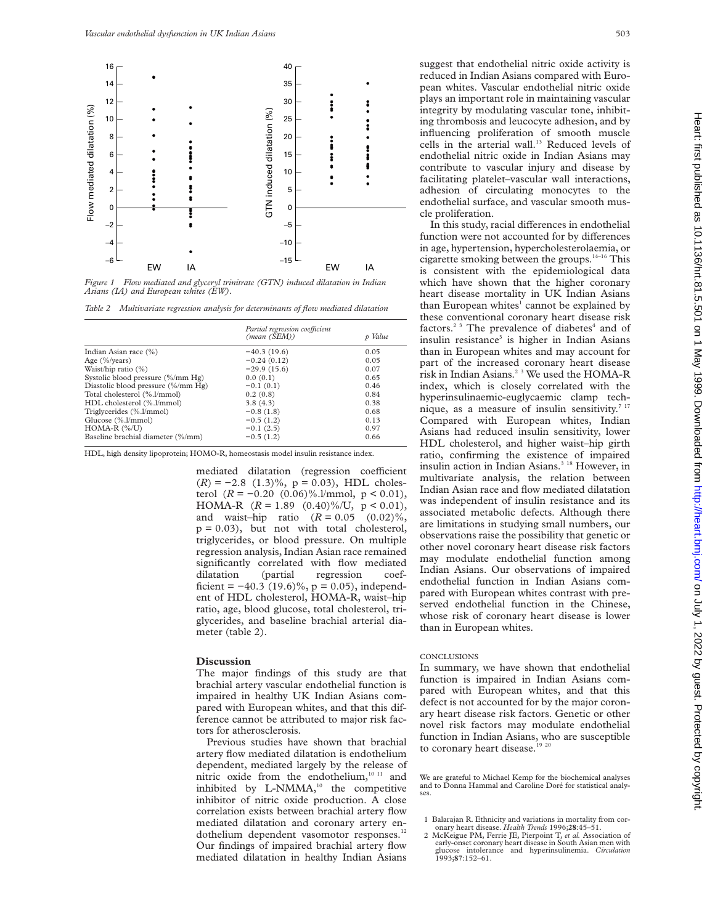

*Figure 1 Flow mediated and glyceryl trinitrate (GTN) induced dilatation in Indian Asians (IA) and European whites (EW).*

*Table 2 Multivariate regression analysis for determinants of flow mediated dilatation*

|                                    | Partial regression coefficient |         |
|------------------------------------|--------------------------------|---------|
|                                    | (mean (SEM))                   | p Value |
| Indian Asian race (%)              | $-40.3(19.6)$                  | 0.05    |
| Age $(\frac{9}{6})$ years)         | $-0.24(0.12)$                  | 0.05    |
| Waist/hip ratio $(\%)$             | $-29.9(15.6)$                  | 0.07    |
| Systolic blood pressure (%/mm Hg)  | 0.0(0.1)                       | 0.65    |
| Diastolic blood pressure (%/mm Hg) | $-0.1(0.1)$                    | 0.46    |
| Total cholesterol (%.l/mmol)       | 0.2(0.8)                       | 0.84    |
| HDL cholesterol (%.l/mmol)         | 3.8(4.3)                       | 0.38    |
| Triglycerides (%.l/mmol)           | $-0.8(1.8)$                    | 0.68    |
| Glucose (%.l/mmol)                 | $-0.5(1.2)$                    | 0.13    |
| $HOMA-R$ $(\% /U)$                 | $-0.1(2.5)$                    | 0.97    |
| Baseline brachial diameter (%/mm)  | $-0.5(1.2)$                    | 0.66    |

HDL, high density lipoprotein; HOMO-R, homeostasis model insulin resistance index.

mediated dilatation (regression coefficient  $(R) = -2.8$  (1.3)%,  $p = 0.03$ ), HDL cholesterol  $(R = −0.20 (0.06)%.]/mmol, p < 0.01)$ , HOMA-R  $(R = 1.89 \ (0.40)\%$ /U,  $p < 0.01$ ),<br>and waist-hip ratio  $(R = 0.05 \ (0.02)\%$ , and waist-hip ratio  $(R = 0.05)$  $p = 0.03$ ), but not with total cholesterol, triglycerides, or blood pressure. On multiple regression analysis, Indian Asian race remained significantly correlated with flow mediated dilatation (partial regression coefficient =  $-40.3$  (19.6)%, p = 0.05), independent of HDL cholesterol, HOMA-R, waist–hip ratio, age, blood glucose, total cholesterol, triglycerides, and baseline brachial arterial diameter (table 2).

### **Discussion**

The major findings of this study are that brachial artery vascular endothelial function is impaired in healthy UK Indian Asians compared with European whites, and that this difference cannot be attributed to major risk factors for atherosclerosis.

Previous studies have shown that brachial artery flow mediated dilatation is endothelium dependent, mediated largely by the release of nitric oxide from the endothelium,<sup>10 11</sup> and inhibited by L-NMMA,<sup>10</sup> the competitive inhibitor of nitric oxide production. A close correlation exists between brachial artery flow mediated dilatation and coronary artery endothelium dependent vasomotor responses.<sup>12</sup> Our findings of impaired brachial artery flow mediated dilatation in healthy Indian Asians

suggest that endothelial nitric oxide activity is reduced in Indian Asians compared with European whites. Vascular endothelial nitric oxide plays an important role in maintaining vascular integrity by modulating vascular tone, inhibiting thrombosis and leucocyte adhesion, and by influencing proliferation of smooth muscle cells in the arterial wall.<sup>13</sup> Reduced levels of endothelial nitric oxide in Indian Asians may contribute to vascular injury and disease by facilitating platelet–vascular wall interactions, adhesion of circulating monocytes to the endothelial surface, and vascular smooth muscle proliferation.

In this study, racial differences in endothelial function were not accounted for by differences in age, hypertension, hypercholesterolaemia, or cigarette smoking between the groups. $14-16$  This is consistent with the epidemiological data which have shown that the higher coronary heart disease mortality in UK Indian Asians than European whites<sup>1</sup> cannot be explained by these conventional coronary heart disease risk factors.<sup>23</sup> The prevalence of diabetes<sup>4</sup> and of insulin resistance<sup>3</sup> is higher in Indian Asians than in European whites and may account for part of the increased coronary heart disease risk in Indian Asians.<sup>2 3</sup> We used the HOMA-R index, which is closely correlated with the hyperinsulinaemic-euglycaemic clamp technique, as a measure of insulin sensitivity. $717$ Compared with European whites, Indian Asians had reduced insulin sensitivity, lower HDL cholesterol, and higher waist–hip girth ratio, confirming the existence of impaired insulin action in Indian Asians.<sup>3 18</sup> However, in multivariate analysis, the relation between Indian Asian race and flow mediated dilatation was independent of insulin resistance and its associated metabolic defects. Although there are limitations in studying small numbers, our observations raise the possibility that genetic or other novel coronary heart disease risk factors may modulate endothelial function among Indian Asians. Our observations of impaired endothelial function in Indian Asians compared with European whites contrast with preserved endothelial function in the Chinese, whose risk of coronary heart disease is lower than in European whites.

#### **CONCLUSIONS**

In summary, we have shown that endothelial function is impaired in Indian Asians compared with European whites, and that this defect is not accounted for by the major coronary heart disease risk factors. Genetic or other novel risk factors may modulate endothelial function in Indian Asians, who are susceptible to coronary heart disease.<sup>19 20</sup>

We are grateful to Michael Kemp for the biochemical analyses and to Donna Hammal and Caroline Doré for statistical analyses.

early-onset coronary heart disease in South Asian men with glucose intolerance and hyperinsulinemia. *Circulation* 1993;**87**:152–61.

<sup>1</sup> Balarajan R. Ethnicity and variations in mortality from cor-onary heart disease. *Health Trends* 1996;**28**:45–51. 2 McKeigue PM, Ferrie JE, Pierpoint T, *et al.* Association of